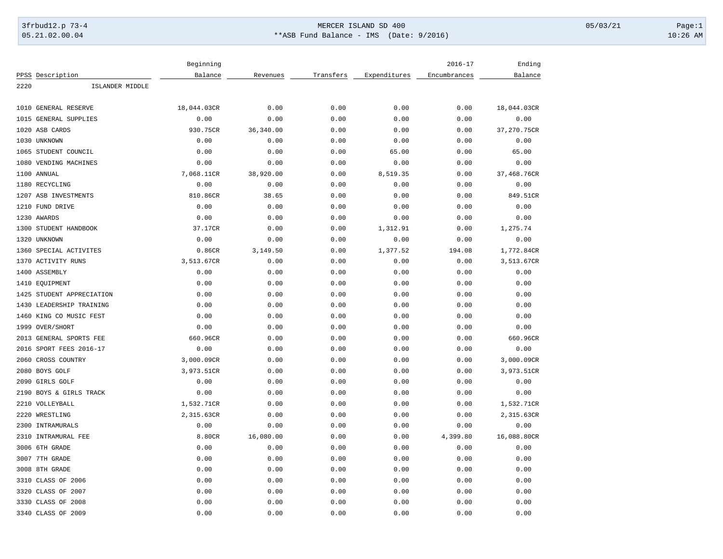## 3frbud12.p 73-4 Page:1 Page:1 05.21.02.00.04 \*\*ASB Fund Balance - IMS (Date: 9/2016) 10:26 AM

|      |                           | Beginning   |            |           |              | $2016 - 17$  | Ending      |
|------|---------------------------|-------------|------------|-----------|--------------|--------------|-------------|
|      | PPSS Description          | Balance     | Revenues   | Transfers | Expenditures | Encumbrances | Balance     |
| 2220 | ISLANDER MIDDLE           |             |            |           |              |              |             |
| 1010 | <b>GENERAL RESERVE</b>    | 18,044.03CR | 0.00       | 0.00      | 0.00         | 0.00         | 18,044.03CR |
| 1015 | GENERAL SUPPLIES          | 0.00        | 0.00       | 0.00      | 0.00         | 0.00         | 0.00        |
| 1020 | ASB CARDS                 | 930.75CR    | 36, 340.00 | 0.00      | 0.00         | 0.00         | 37,270.75CR |
|      | 1030 UNKNOWN              | 0.00        | 0.00       | 0.00      | 0.00         | 0.00         | 0.00        |
|      | 1065 STUDENT COUNCIL      | 0.00        | 0.00       | 0.00      | 65.00        | 0.00         | 65.00       |
| 1080 | VENDING MACHINES          | 0.00        | 0.00       | 0.00      | 0.00         | 0.00         | 0.00        |
|      | 1100 ANNUAL               | 7,068.11CR  | 38,920.00  | 0.00      | 8,519.35     | 0.00         | 37,468.76CR |
|      | 1180 RECYCLING            | 0.00        | 0.00       | 0.00      | 0.00         | 0.00         | 0.00        |
|      | 1207 ASB INVESTMENTS      | 810.86CR    | 38.65      | 0.00      | 0.00         | 0.00         | 849.51CR    |
|      | 1210 FUND DRIVE           | 0.00        | 0.00       | 0.00      | 0.00         | 0.00         | 0.00        |
|      | 1230 AWARDS               | 0.00        | 0.00       | 0.00      | 0.00         | 0.00         | 0.00        |
| 1300 | STUDENT HANDBOOK          | 37.17CR     | 0.00       | 0.00      | 1,312.91     | 0.00         | 1,275.74    |
| 1320 | UNKNOWN                   | 0.00        | 0.00       | 0.00      | 0.00         | 0.00         | 0.00        |
|      | 1360 SPECIAL ACTIVITES    | 0.86CR      | 3,149.50   | 0.00      | 1,377.52     | 194.08       | 1,772.84CR  |
|      | 1370 ACTIVITY RUNS        | 3,513.67CR  | 0.00       | 0.00      | 0.00         | 0.00         | 3,513.67CR  |
|      | 1400 ASSEMBLY             | 0.00        | 0.00       | 0.00      | 0.00         | 0.00         | 0.00        |
|      | 1410 EQUIPMENT            | 0.00        | 0.00       | 0.00      | 0.00         | 0.00         | 0.00        |
|      | 1425 STUDENT APPRECIATION | 0.00        | 0.00       | 0.00      | 0.00         | 0.00         | 0.00        |
| 1430 | LEADERSHIP TRAINING       | 0.00        | 0.00       | 0.00      | 0.00         | 0.00         | 0.00        |
|      | 1460 KING CO MUSIC FEST   | 0.00        | 0.00       | 0.00      | 0.00         | 0.00         | 0.00        |
|      | 1999 OVER/SHORT           | 0.00        | 0.00       | 0.00      | 0.00         | 0.00         | 0.00        |
|      | 2013 GENERAL SPORTS FEE   | 660.96CR    | 0.00       | 0.00      | 0.00         | 0.00         | 660.96CR    |
|      | 2016 SPORT FEES 2016-17   | 0.00        | 0.00       | 0.00      | 0.00         | 0.00         | 0.00        |
| 2060 | CROSS COUNTRY             | 3,000.09CR  | 0.00       | 0.00      | 0.00         | 0.00         | 3,000.09CR  |
|      | 2080 BOYS GOLF            | 3,973.51CR  | 0.00       | 0.00      | 0.00         | 0.00         | 3,973.51CR  |
|      | 2090 GIRLS GOLF           | 0.00        | 0.00       | 0.00      | 0.00         | 0.00         | 0.00        |
|      | 2190 BOYS & GIRLS TRACK   | 0.00        | 0.00       | 0.00      | 0.00         | 0.00         | 0.00        |
|      | 2210 VOLLEYBALL           | 1,532.71CR  | 0.00       | 0.00      | 0.00         | 0.00         | 1,532.71CR  |
| 2220 | WRESTLING                 | 2,315.63CR  | 0.00       | 0.00      | 0.00         | 0.00         | 2,315.63CR  |
|      | 2300 INTRAMURALS          | 0.00        | 0.00       | 0.00      | 0.00         | 0.00         | 0.00        |
| 2310 | INTRAMURAL FEE            | 8.80CR      | 16,080.00  | 0.00      | 0.00         | 4,399.80     | 16,088.80CR |
|      | 3006 6TH GRADE            | 0.00        | 0.00       | 0.00      | 0.00         | 0.00         | 0.00        |
|      | 3007 7TH GRADE            | 0.00        | 0.00       | 0.00      | 0.00         | 0.00         | 0.00        |
|      | 3008 8TH GRADE            | 0.00        | 0.00       | 0.00      | 0.00         | 0.00         | 0.00        |
|      | 3310 CLASS OF 2006        | 0.00        | 0.00       | 0.00      | 0.00         | 0.00         | 0.00        |
| 3320 | CLASS OF 2007             | 0.00        | 0.00       | 0.00      | 0.00         | 0.00         | 0.00        |
|      | 3330 CLASS OF 2008        | 0.00        | 0.00       | 0.00      | 0.00         | 0.00         | 0.00        |
|      | 3340 CLASS OF 2009        | 0.00        | 0.00       | 0.00      | 0.00         | 0.00         | 0.00        |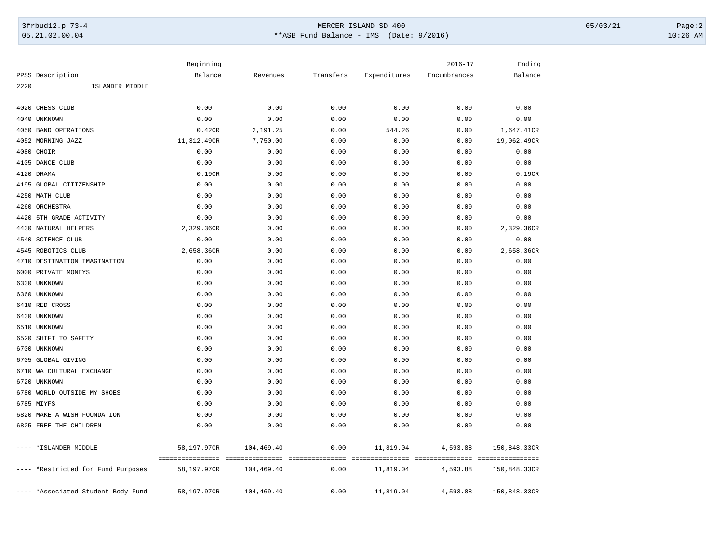## 3frbud12.p 73-4 Page:2 05.21.02.00.04 \*\*ASB Fund Balance - IMS (Date: 9/2016) 10:26 AM

|      |                                    | Beginning                       |                               |                         |                                               | $2016 - 17$  | Ending                           |
|------|------------------------------------|---------------------------------|-------------------------------|-------------------------|-----------------------------------------------|--------------|----------------------------------|
|      | PPSS Description                   | Balance                         | Revenues                      | Transfers               | Expenditures                                  | Encumbrances | Balance                          |
| 2220 | ISLANDER MIDDLE                    |                                 |                               |                         |                                               |              |                                  |
| 4020 | CHESS CLUB                         | 0.00                            | 0.00                          | 0.00                    | 0.00                                          | 0.00         | 0.00                             |
| 4040 | UNKNOWN                            | 0.00                            | 0.00                          | 0.00                    | 0.00                                          | 0.00         | 0.00                             |
|      | 4050 BAND OPERATIONS               | 0.42CR                          | 2,191.25                      | 0.00                    | 544.26                                        | 0.00         | 1,647.41CR                       |
|      | 4052 MORNING JAZZ                  | 11,312.49CR                     | 7,750.00                      | 0.00                    | 0.00                                          | 0.00         | 19,062.49CR                      |
|      | 4080 CHOIR                         | 0.00                            | 0.00                          | 0.00                    | 0.00                                          | 0.00         | 0.00                             |
|      | 4105 DANCE CLUB                    | 0.00                            | 0.00                          | 0.00                    | 0.00                                          | 0.00         | 0.00                             |
|      | 4120 DRAMA                         | 0.19CR                          | 0.00                          | 0.00                    | 0.00                                          | 0.00         | 0.19CR                           |
|      | 4195 GLOBAL CITIZENSHIP            | 0.00                            | 0.00                          | 0.00                    | 0.00                                          | 0.00         | 0.00                             |
|      | 4250 MATH CLUB                     | 0.00                            | 0.00                          | 0.00                    | 0.00                                          | 0.00         | 0.00                             |
| 4260 | ORCHESTRA                          | 0.00                            | 0.00                          | 0.00                    | 0.00                                          | 0.00         | 0.00                             |
| 4420 | 5TH GRADE ACTIVITY                 | 0.00                            | 0.00                          | 0.00                    | 0.00                                          | 0.00         | 0.00                             |
|      | 4430 NATURAL HELPERS               | 2,329.36CR                      | 0.00                          | 0.00                    | 0.00                                          | 0.00         | 2,329.36CR                       |
|      | 4540 SCIENCE CLUB                  | 0.00                            | 0.00                          | 0.00                    | 0.00                                          | 0.00         | 0.00                             |
|      | 4545 ROBOTICS CLUB                 | 2,658.36CR                      | 0.00                          | 0.00                    | 0.00                                          | 0.00         | 2,658.36CR                       |
|      | 4710 DESTINATION IMAGINATION       | 0.00                            | 0.00                          | 0.00                    | 0.00                                          | 0.00         | 0.00                             |
|      | 6000 PRIVATE MONEYS                | 0.00                            | 0.00                          | 0.00                    | 0.00                                          | 0.00         | 0.00                             |
| 6330 | UNKNOWN                            | 0.00                            | 0.00                          | 0.00                    | 0.00                                          | 0.00         | 0.00                             |
|      | 6360 UNKNOWN                       | 0.00                            | 0.00                          | 0.00                    | 0.00                                          | 0.00         | 0.00                             |
|      | 6410 RED CROSS                     | 0.00                            | 0.00                          | 0.00                    | 0.00                                          | 0.00         | 0.00                             |
|      | 6430 UNKNOWN                       | 0.00                            | 0.00                          | 0.00                    | 0.00                                          | 0.00         | 0.00                             |
|      | 6510 UNKNOWN                       | 0.00                            | 0.00                          | 0.00                    | 0.00                                          | 0.00         | 0.00                             |
| 6520 | SHIFT TO SAFETY                    | 0.00                            | 0.00                          | 0.00                    | 0.00                                          | 0.00         | 0.00                             |
|      | 6700 UNKNOWN                       | 0.00                            | 0.00                          | 0.00                    | 0.00                                          | 0.00         | 0.00                             |
| 6705 | <b>GLOBAL GIVING</b>               | 0.00                            | 0.00                          | 0.00                    | 0.00                                          | 0.00         | 0.00                             |
| 6710 | WA CULTURAL EXCHANGE               | 0.00                            | 0.00                          | 0.00                    | 0.00                                          | 0.00         | 0.00                             |
| 6720 | UNKNOWN                            | 0.00                            | 0.00                          | 0.00                    | 0.00                                          | 0.00         | 0.00                             |
|      | 6780 WORLD OUTSIDE MY SHOES        | 0.00                            | 0.00                          | 0.00                    | 0.00                                          | 0.00         | 0.00                             |
|      | 6785 MIYFS                         | 0.00                            | 0.00                          | 0.00                    | 0.00                                          | 0.00         | 0.00                             |
|      | 6820 MAKE A WISH FOUNDATION        | 0.00                            | 0.00                          | 0.00                    | 0.00                                          | 0.00         | 0.00                             |
|      | 6825 FREE THE CHILDREN             | 0.00                            | 0.00                          | 0.00                    | 0.00                                          | 0.00         | 0.00                             |
|      | *ISLANDER MIDDLE                   | 58,197.97CR                     | 104,469.40                    | 0.00                    | 11,819.04                                     | 4,593.88     | 150,848.33CR                     |
|      | *Restricted for Fund Purposes      | ----------------<br>58,197.97CR | ---------------<br>104,469.40 | ---------------<br>0.00 | --------------------------------<br>11,819.04 | 4,593.88     | ----------------<br>150,848.33CR |
|      | ---- *Associated Student Body Fund | 58,197.97CR                     | 104,469.40                    | 0.00                    | 11,819.04                                     | 4,593.88     | 150,848.33CR                     |